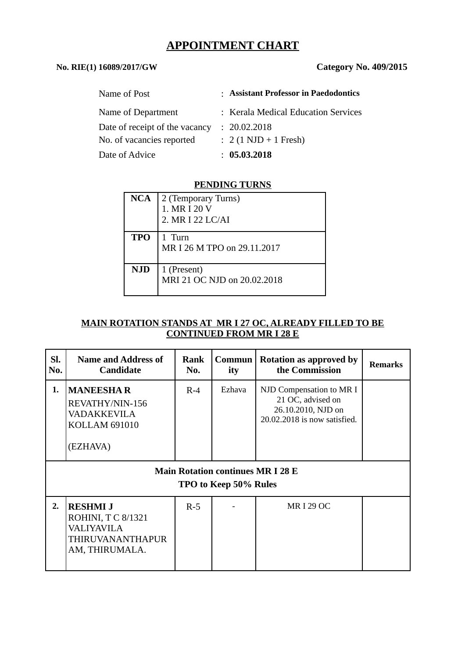# **APPOINTMENT CHART**

## **No. RIE(1) 16089/2017/GW Category No. 409/2015**

| Name of Post                   | : Assistant Professor in Paedodontics  |
|--------------------------------|----------------------------------------|
| Name of Department             | : Kerala Medical Education Services    |
| Date of receipt of the vacancy | : 20.02.2018                           |
| No. of vacancies reported      | $: 2(1 \text{ NJD} + 1 \text{ Fresh})$ |
| Date of Advice                 | : 05.03.2018                           |

### **PENDING TURNS**

| <b>NCA</b> | 2 (Temporary Turns)<br>1. MR I 20 V<br>2. MR I 22 LC/AI |
|------------|---------------------------------------------------------|
| <b>TPO</b> | 1 Turn<br>MR I 26 M TPO on 29.11.2017                   |
| <b>NJD</b> | 1 (Present)<br>MRI 21 OC NJD on 20.02.2018              |

#### **MAIN ROTATION STANDS AT MR I 27 OC, ALREADY FILLED TO BE CONTINUED FROM MR I 28 E**

| SI.<br>No. | <b>Name and Address of</b><br><b>Candidate</b>                                                          | Rank<br>No. | Commun<br>ity                                                               | <b>Rotation as approved by</b><br>the Commission                                                    | <b>Remarks</b> |
|------------|---------------------------------------------------------------------------------------------------------|-------------|-----------------------------------------------------------------------------|-----------------------------------------------------------------------------------------------------|----------------|
| 1.         | <b>MANEESHAR</b><br>REVATHY/NIN-156<br>VADAKKEVILA<br><b>KOLLAM 691010</b><br>(EZHAVA)                  | $R-4$       | Ezhava<br><b>Main Rotation continues MR I 28 E</b><br>TPO to Keep 50% Rules | NJD Compensation to MR I<br>21 OC, advised on<br>26.10.2010, NJD on<br>20.02.2018 is now satisfied. |                |
| 2.         | <b>RESHMI J</b><br>ROHINI, T C 8/1321<br><b>VALIYAVILA</b><br><b>THIRUVANANTHAPUR</b><br>AM, THIRUMALA. | $R-5$       |                                                                             | <b>MRI 29 OC</b>                                                                                    |                |